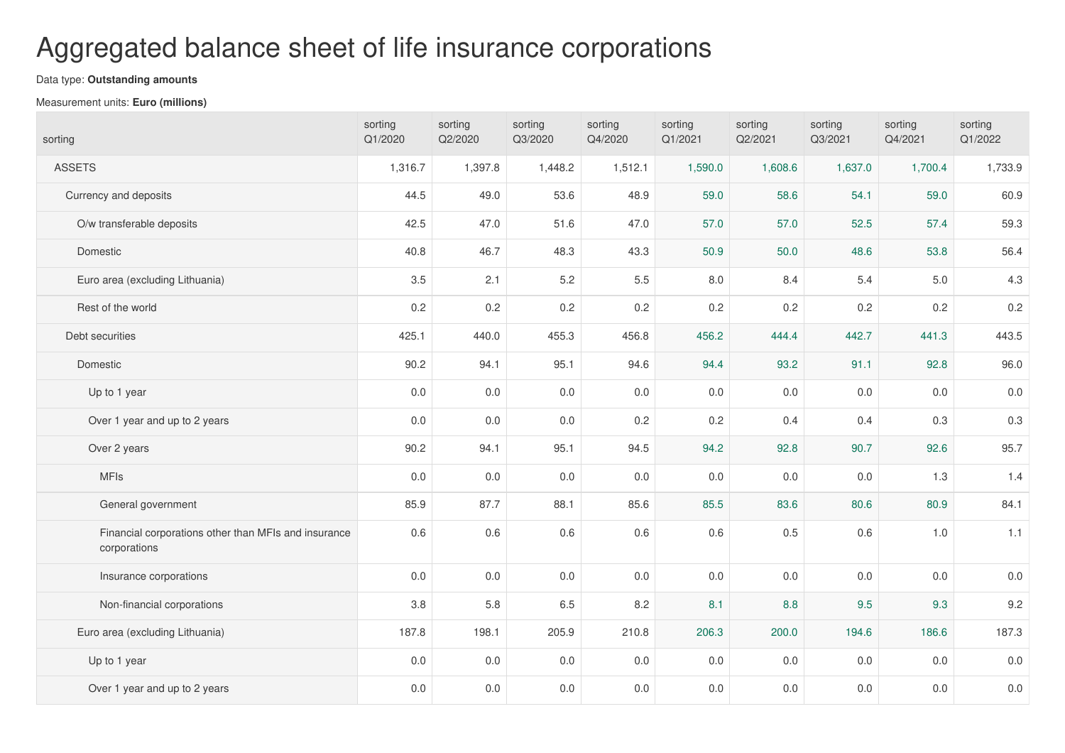## Aggregated balance sheet of life insurance corporations

## Data type: **Outstanding amounts**

## Measurement units: **Euro (millions)**

| sorting                                                              | sorting<br>Q1/2020 | sorting<br>Q2/2020 | sorting<br>Q3/2020 | sorting<br>Q4/2020 | sorting<br>Q1/2021 | sorting<br>Q2/2021 | sorting<br>Q3/2021 | sorting<br>Q4/2021 | sorting<br>Q1/2022 |
|----------------------------------------------------------------------|--------------------|--------------------|--------------------|--------------------|--------------------|--------------------|--------------------|--------------------|--------------------|
| <b>ASSETS</b>                                                        | 1,316.7            | 1,397.8            | 1,448.2            | 1,512.1            | 1,590.0            | 1,608.6            | 1,637.0            | 1,700.4            | 1,733.9            |
| Currency and deposits                                                | 44.5               | 49.0               | 53.6               | 48.9               | 59.0               | 58.6               | 54.1               | 59.0               | 60.9               |
| O/w transferable deposits                                            | 42.5               | 47.0               | 51.6               | 47.0               | 57.0               | 57.0               | 52.5               | 57.4               | 59.3               |
| Domestic                                                             | 40.8               | 46.7               | 48.3               | 43.3               | 50.9               | 50.0               | 48.6               | 53.8               | 56.4               |
| Euro area (excluding Lithuania)                                      | 3.5                | 2.1                | $5.2\,$            | $5.5\,$            | $8.0\,$            | 8.4                | 5.4                | $5.0$              | 4.3                |
| Rest of the world                                                    | 0.2                | 0.2                | $0.2\,$            | 0.2                | 0.2                | 0.2                | 0.2                | 0.2                | 0.2                |
| Debt securities                                                      | 425.1              | 440.0              | 455.3              | 456.8              | 456.2              | 444.4              | 442.7              | 441.3              | 443.5              |
| Domestic                                                             | 90.2               | 94.1               | 95.1               | 94.6               | 94.4               | 93.2               | 91.1               | 92.8               | 96.0               |
| Up to 1 year                                                         | $0.0\,$            | $0.0\,$            | 0.0                | $0.0\,$            | $0.0\,$            | $0.0\,$            | 0.0                | 0.0                | $0.0\,$            |
| Over 1 year and up to 2 years                                        | 0.0                | $0.0\,$            | 0.0                | 0.2                | 0.2                | 0.4                | 0.4                | 0.3                | $0.3\,$            |
| Over 2 years                                                         | 90.2               | 94.1               | 95.1               | 94.5               | 94.2               | 92.8               | 90.7               | 92.6               | 95.7               |
| <b>MFIs</b>                                                          | $0.0\,$            | $0.0\,$            | 0.0                | $0.0\,$            | $0.0\,$            | $0.0\,$            | 0.0                | 1.3                | 1.4                |
| General government                                                   | 85.9               | 87.7               | 88.1               | 85.6               | 85.5               | 83.6               | 80.6               | 80.9               | 84.1               |
| Financial corporations other than MFIs and insurance<br>corporations | $0.6\,$            | 0.6                | $0.6\,$            | $0.6\,$            | 0.6                | 0.5                | 0.6                | $1.0$              | 1.1                |
| Insurance corporations                                               | $0.0\,$            | $0.0\,$            | 0.0                | $0.0\,$            | $0.0\,$            | $0.0\,$            | 0.0                | $0.0\,$            | $0.0\,$            |
| Non-financial corporations                                           | $3.8\,$            | 5.8                | $6.5\,$            | 8.2                | 8.1                | 8.8                | 9.5                | 9.3                | 9.2                |
| Euro area (excluding Lithuania)                                      | 187.8              | 198.1              | 205.9              | 210.8              | 206.3              | 200.0              | 194.6              | 186.6              | 187.3              |
| Up to 1 year                                                         | $0.0\,$            | $0.0\,$            | 0.0                | 0.0                | 0.0                | $0.0\,$            | 0.0                | 0.0                | $0.0\,$            |
| Over 1 year and up to 2 years                                        | $0.0\,$            | $0.0\,$            | 0.0                | $0.0\,$            | 0.0                | $0.0\,$            | 0.0                | $0.0\,$            | 0.0                |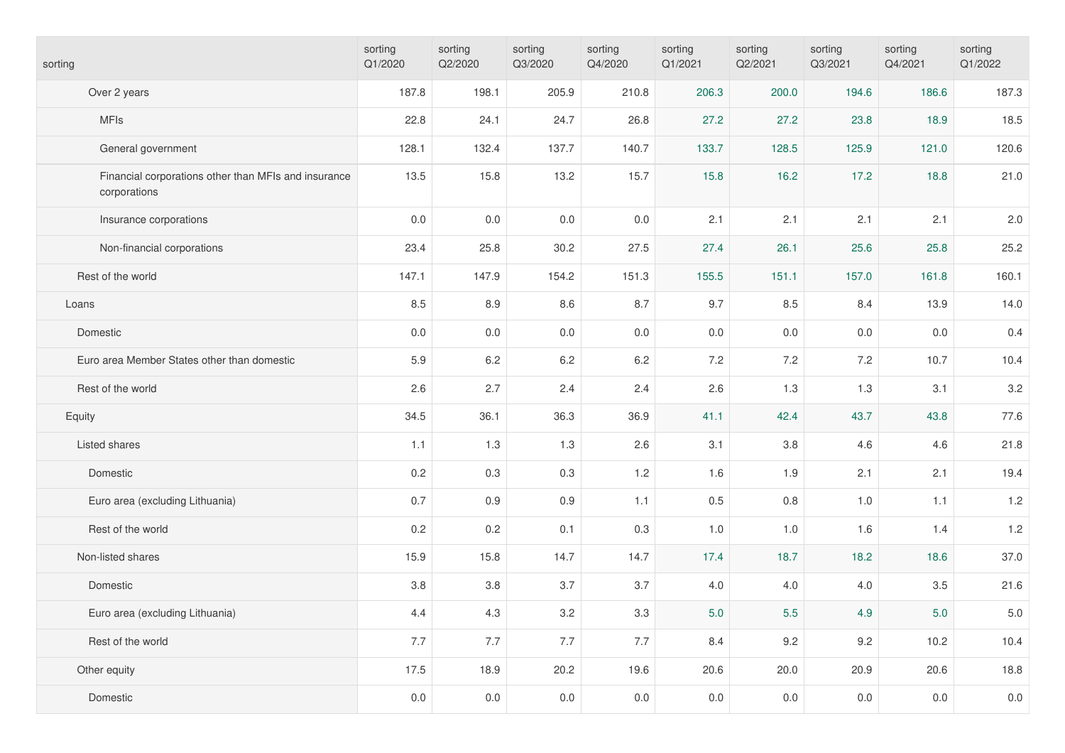| sorting                                                              | sorting<br>Q1/2020 | sorting<br>Q2/2020 | sorting<br>Q3/2020 | sorting<br>Q4/2020 | sorting<br>Q1/2021 | sorting<br>Q2/2021 | sorting<br>Q3/2021 | sorting<br>Q4/2021 | sorting<br>Q1/2022 |
|----------------------------------------------------------------------|--------------------|--------------------|--------------------|--------------------|--------------------|--------------------|--------------------|--------------------|--------------------|
| Over 2 years                                                         | 187.8              | 198.1              | 205.9              | 210.8              | 206.3              | 200.0              | 194.6              | 186.6              | 187.3              |
| <b>MFIs</b>                                                          | 22.8               | 24.1               | 24.7               | 26.8               | 27.2               | 27.2               | 23.8               | 18.9               | 18.5               |
| General government                                                   | 128.1              | 132.4              | 137.7              | 140.7              | 133.7              | 128.5              | 125.9              | 121.0              | 120.6              |
| Financial corporations other than MFIs and insurance<br>corporations | 13.5               | 15.8               | 13.2               | 15.7               | 15.8               | 16.2               | 17.2               | 18.8               | 21.0               |
| Insurance corporations                                               | 0.0                | $0.0\,$            | 0.0                | $0.0\,$            | 2.1                | 2.1                | 2.1                | 2.1                | 2.0                |
| Non-financial corporations                                           | 23.4               | 25.8               | 30.2               | 27.5               | 27.4               | 26.1               | 25.6               | 25.8               | 25.2               |
| Rest of the world                                                    | 147.1              | 147.9              | 154.2              | 151.3              | 155.5              | 151.1              | 157.0              | 161.8              | 160.1              |
| Loans                                                                | 8.5                | 8.9                | $8.6\,$            | 8.7                | 9.7                | 8.5                | 8.4                | 13.9               | 14.0               |
| Domestic                                                             | 0.0                | $0.0\,$            | 0.0                | $0.0\,$            | 0.0                | 0.0                | $0.0\,$            | $0.0\,$            | 0.4                |
| Euro area Member States other than domestic                          | 5.9                | 6.2                | 6.2                | 6.2                | 7.2                | 7.2                | 7.2                | 10.7               | 10.4               |
| Rest of the world                                                    | 2.6                | 2.7                | 2.4                | 2.4                | 2.6                | 1.3                | 1.3                | 3.1                | 3.2                |
| Equity                                                               | 34.5               | 36.1               | 36.3               | 36.9               | 41.1               | 42.4               | 43.7               | 43.8               | 77.6               |
| Listed shares                                                        | 1.1                | 1.3                | 1.3                | 2.6                | 3.1                | 3.8                | 4.6                | 4.6                | 21.8               |
| Domestic                                                             | 0.2                | 0.3                | 0.3                | 1.2                | 1.6                | 1.9                | 2.1                | 2.1                | 19.4               |
| Euro area (excluding Lithuania)                                      | 0.7                | 0.9                | 0.9                | 1.1                | 0.5                | 0.8                | 1.0                | 1.1                | 1.2                |
| Rest of the world                                                    | 0.2                | 0.2                | 0.1                | 0.3                | 1.0                | $1.0$              | 1.6                | 1.4                | 1.2                |
| Non-listed shares                                                    | 15.9               | 15.8               | 14.7               | 14.7               | 17.4               | 18.7               | 18.2               | 18.6               | 37.0               |
| Domestic                                                             | 3.8                | $3.8\,$            | 3.7                | 3.7                | 4.0                | 4.0                | 4.0                | 3.5                | 21.6               |
| Euro area (excluding Lithuania)                                      | 4.4                | 4.3                | $3.2\,$            | $3.3\,$            | 5.0                | $5.5\,$            | 4.9                | $5.0$              | $5.0\,$            |
| Rest of the world                                                    | 7.7                | 7.7                | 7.7                | 7.7                | 8.4                | 9.2                | 9.2                | 10.2               | 10.4               |
| Other equity                                                         | 17.5               | 18.9               | 20.2               | 19.6               | 20.6               | 20.0               | 20.9               | 20.6               | 18.8               |
| Domestic                                                             | $0.0\,$            | $0.0\,$            | $0.0\,$            | $0.0\,$            | 0.0                | $0.0\,$            | 0.0                | 0.0                | $0.0\,$            |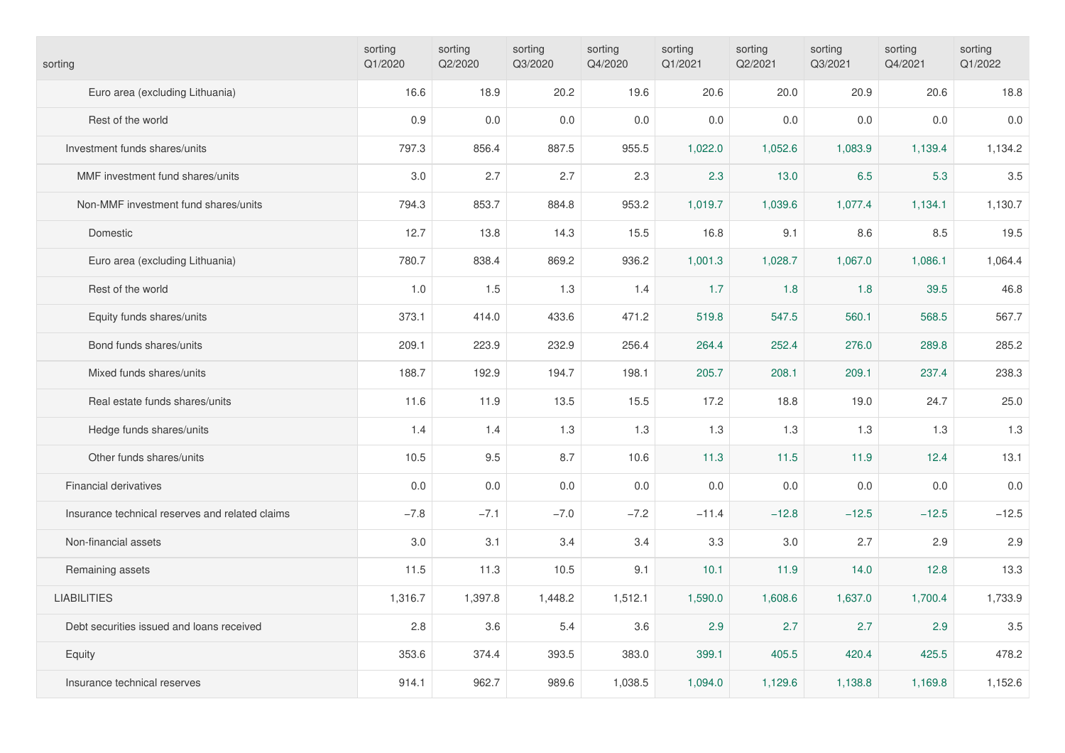| sorting                                         | sorting<br>Q1/2020 | sorting<br>Q2/2020 | sorting<br>Q3/2020 | sorting<br>Q4/2020 | sorting<br>Q1/2021 | sorting<br>Q2/2021 | sorting<br>Q3/2021 | sorting<br>Q4/2021 | sorting<br>Q1/2022 |
|-------------------------------------------------|--------------------|--------------------|--------------------|--------------------|--------------------|--------------------|--------------------|--------------------|--------------------|
| Euro area (excluding Lithuania)                 | 16.6               | 18.9               | 20.2               | 19.6               | 20.6               | 20.0               | 20.9               | 20.6               | 18.8               |
| Rest of the world                               | 0.9                | 0.0                | $0.0\,$            | 0.0                | 0.0                | 0.0                | 0.0                | 0.0                | 0.0                |
| Investment funds shares/units                   | 797.3              | 856.4              | 887.5              | 955.5              | 1,022.0            | 1,052.6            | 1,083.9            | 1,139.4            | 1,134.2            |
| MMF investment fund shares/units                | 3.0                | 2.7                | 2.7                | 2.3                | 2.3                | 13.0               | 6.5                | 5.3                | 3.5                |
| Non-MMF investment fund shares/units            | 794.3              | 853.7              | 884.8              | 953.2              | 1,019.7            | 1,039.6            | 1,077.4            | 1,134.1            | 1,130.7            |
| Domestic                                        | 12.7               | 13.8               | 14.3               | 15.5               | 16.8               | 9.1                | 8.6                | 8.5                | 19.5               |
| Euro area (excluding Lithuania)                 | 780.7              | 838.4              | 869.2              | 936.2              | 1,001.3            | 1,028.7            | 1,067.0            | 1,086.1            | 1,064.4            |
| Rest of the world                               | 1.0                | 1.5                | 1.3                | 1.4                | 1.7                | 1.8                | 1.8                | 39.5               | 46.8               |
| Equity funds shares/units                       | 373.1              | 414.0              | 433.6              | 471.2              | 519.8              | 547.5              | 560.1              | 568.5              | 567.7              |
| Bond funds shares/units                         | 209.1              | 223.9              | 232.9              | 256.4              | 264.4              | 252.4              | 276.0              | 289.8              | 285.2              |
| Mixed funds shares/units                        | 188.7              | 192.9              | 194.7              | 198.1              | 205.7              | 208.1              | 209.1              | 237.4              | 238.3              |
| Real estate funds shares/units                  | 11.6               | 11.9               | 13.5               | 15.5               | 17.2               | 18.8               | 19.0               | 24.7               | 25.0               |
| Hedge funds shares/units                        | 1.4                | 1.4                | 1.3                | 1.3                | 1.3                | 1.3                | 1.3                | 1.3                | 1.3                |
| Other funds shares/units                        | 10.5               | 9.5                | 8.7                | 10.6               | 11.3               | 11.5               | 11.9               | 12.4               | 13.1               |
| <b>Financial derivatives</b>                    | 0.0                | 0.0                | 0.0                | 0.0                | 0.0                | 0.0                | 0.0                | 0.0                | 0.0                |
| Insurance technical reserves and related claims | $-7.8$             | $-7.1$             | $-7.0$             | $-7.2$             | $-11.4$            | $-12.8$            | $-12.5$            | $-12.5$            | $-12.5$            |
| Non-financial assets                            | 3.0                | 3.1                | 3.4                | 3.4                | 3.3                | 3.0                | 2.7                | 2.9                | 2.9                |
| Remaining assets                                | 11.5               | 11.3               | 10.5               | 9.1                | 10.1               | 11.9               | 14.0               | 12.8               | 13.3               |
| <b>LIABILITIES</b>                              | 1,316.7            | 1,397.8            | 1,448.2            | 1,512.1            | 1,590.0            | 1,608.6            | 1,637.0            | 1,700.4            | 1,733.9            |
| Debt securities issued and loans received       | 2.8                | 3.6                | 5.4                | 3.6                | 2.9                | 2.7                | 2.7                | 2.9                | $3.5\,$            |
| Equity                                          | 353.6              | 374.4              | 393.5              | 383.0              | 399.1              | 405.5              | 420.4              | 425.5              | 478.2              |
| Insurance technical reserves                    | 914.1              | 962.7              | 989.6              | 1,038.5            | 1,094.0            | 1,129.6            | 1,138.8            | 1,169.8            | 1,152.6            |